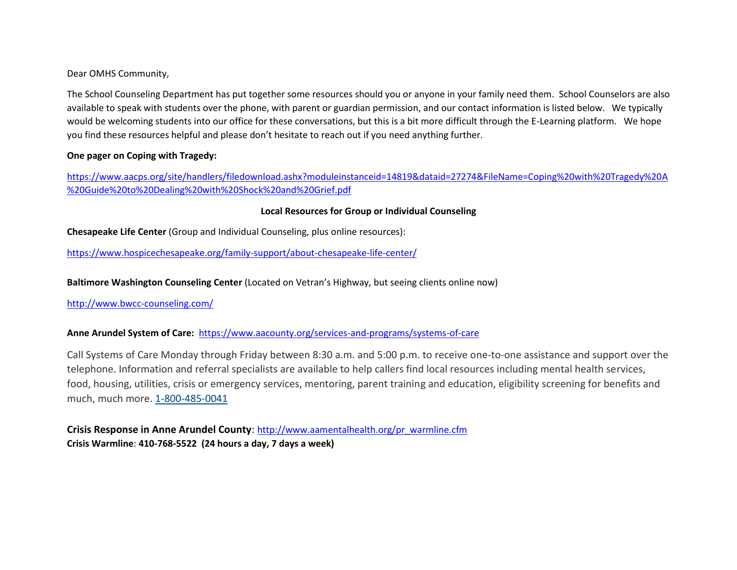Dear OMHS Community,

The School Counseling Department has put together some resources should you or anyone in your family need them. School Counselors are also available to speak with students over the phone, with parent or guardian permission, and our contact information is listed below. We typically would be welcoming students into our office for these conversations, but this is a bit more difficult through the E-Learning platform. We hope you find these resources helpful and please don't hesitate to reach out if you need anything further.

#### **One pager on Coping with Tragedy:**

[https://www.aacps.org/site/handlers/filedownload.ashx?moduleinstanceid=14819&dataid=27274&FileName=Coping%20with%20Tragedy%20A](https://www.aacps.org/site/handlers/filedownload.ashx?moduleinstanceid=14819&dataid=27274&FileName=Coping%20with%20Tragedy%20A%20Guide%20to%20Dealing%20with%20Shock%20and%20Grief.pdf) [%20Guide%20to%20Dealing%20with%20Shock%20and%20Grief.pdf](https://www.aacps.org/site/handlers/filedownload.ashx?moduleinstanceid=14819&dataid=27274&FileName=Coping%20with%20Tragedy%20A%20Guide%20to%20Dealing%20with%20Shock%20and%20Grief.pdf)

### **Local Resources for Group or Individual Counseling**

**Chesapeake Life Center** (Group and Individual Counseling, plus online resources):

<https://www.hospicechesapeake.org/family-support/about-chesapeake-life-center/>

**Baltimore Washington Counseling Center** (Located on Vetran's Highway, but seeing clients online now)

<http://www.bwcc-counseling.com/>

### **Anne Arundel System of Care:** <https://www.aacounty.org/services-and-programs/systems-of-care>

Call Systems of Care Monday through Friday between 8:30 a.m. and 5:00 p.m. to receive one-to-one assistance and support over the telephone. Information and referral specialists are available to help callers find local resources including mental health services, food, housing, utilities, crisis or emergency services, mentoring, parent training and education, eligibility screening for benefits and much, much more. [1-800-485-0041](tell:%201-800-485-0041)

**Crisis Response in Anne Arundel County**: [http://www.aamentalhealth.org/pr\\_warmline.cfm](http://www.aamentalhealth.org/pr_warmline.cfm)  **Crisis Warmline**: **410-768-5522 (24 hours a day, 7 days a week)**